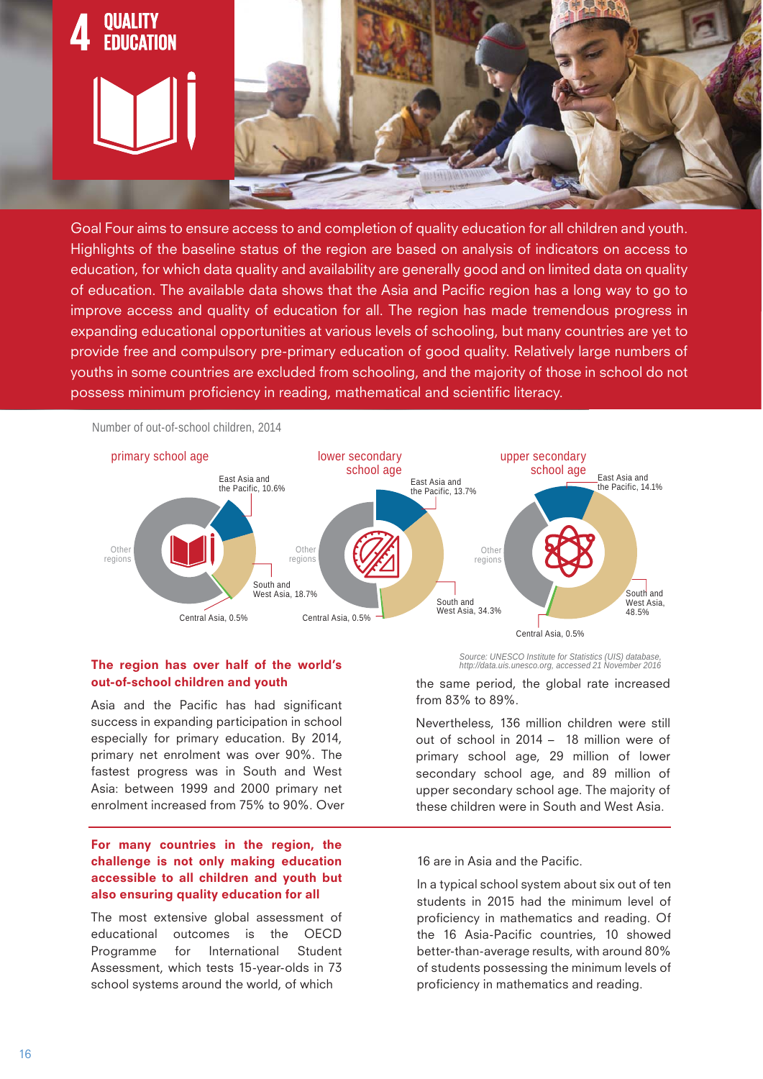

Goal Four aims to ensure access to and completion of quality education for all children and youth. Highlights of the baseline status of the region are based on analysis of indicators on access to education, for which data quality and availability are generally good and on limited data on quality of education. The available data shows that the Asia and Pacific region has a long way to go to improve access and quality of education for all. The region has made tremendous progress in expanding educational opportunities at various levels of schooling, but many countries are yet to provide free and compulsory pre-primary education of good quality. Relatively large numbers of youths in some countries are excluded from schooling, and the majority of those in school do not possess minimum proficiency in reading, mathematical and scientific literacy.



## **The region has over half of the world's out-of-school children and youth**

Asia and the Pacific has had significant success in expanding participation in school especially for primary education. By 2014, primary net enrolment was over 90%. The fastest progress was in South and West Asia: between 1999 and 2000 primary net enrolment increased from 75% to 90%. Over

## **For many countries in the region, the challenge is not only making education accessible to all children and youth but also ensuring quality education for all**

The most extensive global assessment of educational outcomes is the OECD Programme for International Student Assessment, which tests 15-year-olds in 73 school systems around the world, of which

*Source: UNESCO Institute for Statistics (UIS) database, http://data.uis.unesco.org, accessed 21 November 2016*

the same period, the global rate increased from 83% to 89%.

Nevertheless, 136 million children were still out of school in 2014 – 18 million were of primary school age, 29 million of lower secondary school age, and 89 million of upper secondary school age. The majority of these children were in South and West Asia.

16 are in Asia and the Pacific.

In a typical school system about six out of ten students in 2015 had the minimum level of proficiency in mathematics and reading. Of the 16 Asia-Pacific countries, 10 showed better-than-average results, with around 80% of students possessing the minimum levels of proficiency in mathematics and reading.